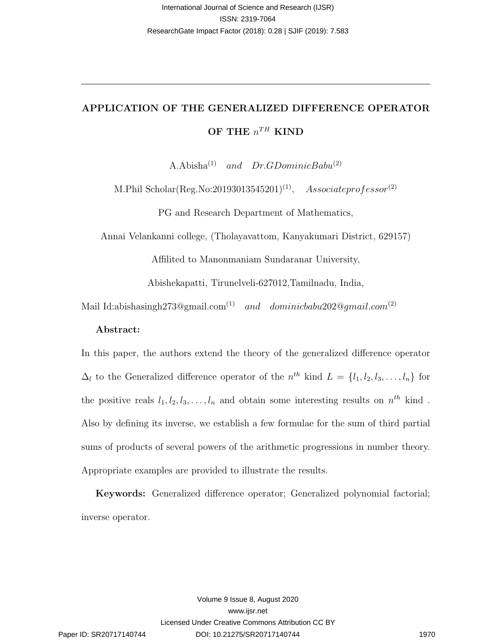# APPLICATION OF THE GENERALIZED DIFFERENCE OPERATOR OF THE  $n^{TH}$  KIND

A.Abisha<sup>(1)</sup> and  $Dr.GDominicBabu^{(2)}$ 

M.Phil Scholar(Reg.No:20193013545201)<sup>(1)</sup>, Associateprofessor<sup>(2)</sup>

PG and Research Department of Mathematics,

Annai Velankanni college, (Tholayavattom, Kanyakumari District, 629157)

Affilited to Manonmaniam Sundaranar University,

Abishekapatti, Tirunelveli-627012,Tamilnadu, India,

Mail Id:abishasingh273@gmail.com<sup>(1)</sup> and dominicbabu202@gmail.com<sup>(2)</sup>

#### Abstract:

In this paper, the authors extend the theory of the generalized difference operator  $\Delta_l$  to the Generalized difference operator of the  $n^{th}$  kind  $L = \{l_1, l_2, l_3, \ldots, l_n\}$  for the positive reals  $l_1, l_2, l_3, \ldots, l_n$  and obtain some interesting results on  $n^{th}$  kind. Also by defining its inverse, we establish a few formulae for the sum of third partial sums of products of several powers of the arithmetic progressions in number theory. Appropriate examples are provided to illustrate the results. **Normalized American Assument States and Solutions and Solutions and Solutions and Solutions and Solutions and Solutions and Solutions and Solutions (2018) 2360<br>
<br>
<b>APPLICATION OF THE GENERALIZED DIFFERENCE OPERATOR**<br> **AP** 

Keywords: Generalized difference operator; Generalized polynomial factorial; inverse operator.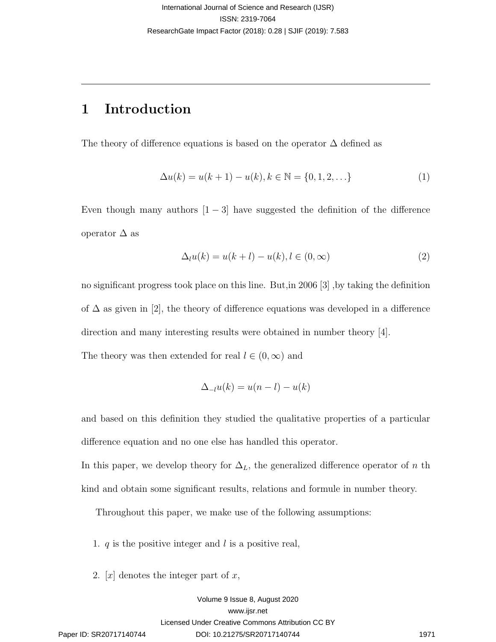## 1 Introduction

The theory of difference equations is based on the operator  $\Delta$  defined as

$$
\Delta u(k) = u(k+1) - u(k), k \in \mathbb{N} = \{0, 1, 2, \ldots\}
$$
 (1)

Even though many authors  $[1 - 3]$  have suggested the definition of the difference operator  $\Delta$  as

$$
\Delta_l u(k) = u(k+l) - u(k), l \in (0, \infty)
$$
\n<sup>(2)</sup>

no significant progress took place on this line. But,in 2006 [3] ,by taking the definition of  $\Delta$  as given in [2], the theory of difference equations was developed in a difference direction and many interesting results were obtained in number theory [4]. interaction) and Soletion 2 states and Soletions (2018)<br>
ESN 2016-706<br>
Remeabilishes input (2018, 0.26) Surf (2019, 7.86)<br>
Remeabilishes input (2019, 0.26) Surf (2019, 7.86)<br>
<br>
<br>
The theory of difference equations is base

The theory was then extended for real  $l \in (0, \infty)$  and

$$
\Delta_{-l}u(k) = u(n-l) - u(k)
$$

and based on this definition they studied the qualitative properties of a particular difference equation and no one else has handled this operator.

In this paper, we develop theory for  $\Delta_L$ , the generalized difference operator of n th kind and obtain some significant results, relations and formule in number theory.

Throughout this paper, we make use of the following assumptions:

1.  $q$  is the positive integer and l is a positive real,

2. [x] denotes the integer part of x,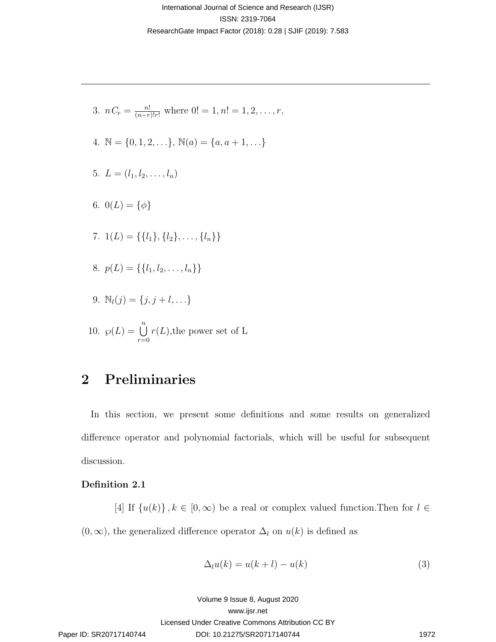- 3.  $nC_r = \frac{n!}{(n-r)!r!}$  where  $0! = 1, n! = 1, 2, \ldots, r$ ,
- 4.  $\mathbb{N} = \{0, 1, 2, \ldots\}, \mathbb{N}(a) = \{a, a + 1, \ldots\}$
- 5.  $L = (l_1, l_2, \ldots, l_n)$
- 6.  $0(L) = {\phi}$
- 7.  $1(L) = \{\{l_1\}, \{l_2\}, \ldots, \{l_n\}\}\$
- 8.  $p(L) = \{\{l_1, l_2, \ldots, l_n\}\}\$
- 9.  $\mathbb{N}_l(j) = \{j, j + l, ...\}$

10. 
$$
\wp(L) = \bigcup_{r=0}^{n} r(L)
$$
, the power set of L

## 2 Preliminaries

In this section, we present some definitions and some results on generalized difference operator and polynomial factorials, which will be useful for subsequent discussion. interational American Context and Solence and Solence and Solence and Solence 2018.<br>
Remeabilishes from (2018, 0.26) Suff (2019, 7.86)<br>
<br>  $x, y, C_x = \frac{1}{(x - x^2)x^2}$  where  $(0 - 1, x^2 - 1, 2, ..., x,$ <br>  $x, y = (0, 1, 2, ..., 1, 1)$ <br>
5.  $L$ 

### Definition 2.1

[4] If  $\{u(k)\}\,$ ,  $k \in [0,\infty)$  be a real or complex valued function. Then for  $l \in$  $(0, \infty)$ , the generalized difference operator  $\Delta_l$  on  $u(k)$  is defined as

$$
\Delta_l u(k) = u(k+l) - u(k) \tag{3}
$$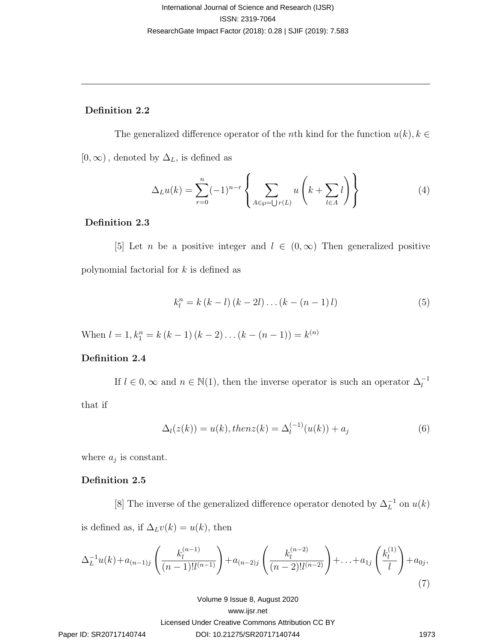#### Definition 2.2

The generalized difference operator of the nth kind for the function  $u(k)$ ,  $k \in$  $[0, \infty)$ , denoted by  $\Delta_L$ , is defined as

$$
\Delta_L u(k) = \sum_{r=0}^n (-1)^{n-r} \left\{ \sum_{A \in \wp = \bigcup r(L)} u\left(k + \sum_{l \in A} l\right) \right\} \tag{4}
$$

#### Definition 2.3

[5] Let *n* be a positive integer and  $l \in (0,\infty)$  Then generalized positive polynomial factorial for k is defined as

$$
k_{l}^{n} = k(k - l)(k - 2l) \dots (k - (n - 1)l)
$$
\n(5)

When  $l = 1, k_1^n = k (k - 1) (k - 2) \dots (k - (n - 1)) = k^{(n)}$ 

### Definition 2.4

If  $l \in 0$ ,  $\infty$  and  $n \in \mathbb{N}(1)$ , then the inverse operator is such an operator  $\Delta_l^{-1}$ 

that if

$$
\Delta_l(z(k)) = u(k), then z(k) = \Delta_l^{(-1)}(u(k)) + a_j
$$
\n(6)

where  $a_j$  is constant.

#### Definition 2.5

[8] The inverse of the generalized difference operator denoted by  $\Delta_L^{-1}$  on  $u(k)$ is defined as, if  $\Delta_L v(k) = u(k)$ , then

International Journal of Science and Research (JJSR)

\nResearchCase Image

\nResearchGate Impact Factor (2018): 0.28 [ SUF (2019): 7.583

\nResearchGate Impact Factor (2018): 0.28 [ SUF (2019): 7.583

\nDefinition 2.2

\nThe generalized difference operator of the *n*th kind for the function 
$$
u(k)
$$
,  $k \in [0, \infty)$ , denoted by  $\Delta_L$ , is defined as

\n
$$
\Delta_L u(k) = \sum_{r=0}^n (-1)^{n-r} \left\{ \sum_{A \in p = \bigcup_{r} C_{B}} u\left(k + \sum_{l \in A} l \right) \right\}
$$
\nDefinition 2.3

\n[5] Let  $n$  be a positive integer and  $l \in (0, \infty)$  Then generalized positive polynomial factorial for  $k$  is defined as

\n
$$
k_i^n = k(k-1)(k-21) \dots (k - (n-1)1) \qquad (5)
$$
\nWhen  $l = 1$ ,  $k_1^n = k(k-1)(k-2) \dots (k - (n-1)) = k^{(n)}$ 

\nDefinition 2.4

\nIf  $l \in 0$ ,  $\infty$  and  $n \in \mathbb{N}(1)$ , then the inverse operator is such an operator  $\Delta_l^{-1}$ 

\nthat if

\n
$$
\Delta_l(z(k)) = u(k), \text{then } z(k) = \Delta_l^{(-1)}(u(k)) + a_j \qquad (6)
$$
\nwhere  $a_j$  is constant.

\nDefinition 2.5

\n[8] The inverse of the generalized difference operator denoted by  $\Delta_L^{-1}$  on  $u(k)$ 

\nis defined as, if  $\Delta_L v(k) = u(k)$ , then

\n
$$
\Delta_L^{-1} u(k) + a_{(n-1)j} \left( \frac{k_i^{(n-1)}}{(n-1)l^{(n-1)}} \right) + a_{(n-2)j} \left( \frac{k_i^{(n-2)}}{(n-2)l^{(n-2)}} \right) + \dots + a_{1j} \left( \frac{k_i^{(1)}}{l} \right) + a_{0j},
$$
\nVolumes (S) Show

\nSuppose A, August 2020

\nEaves of A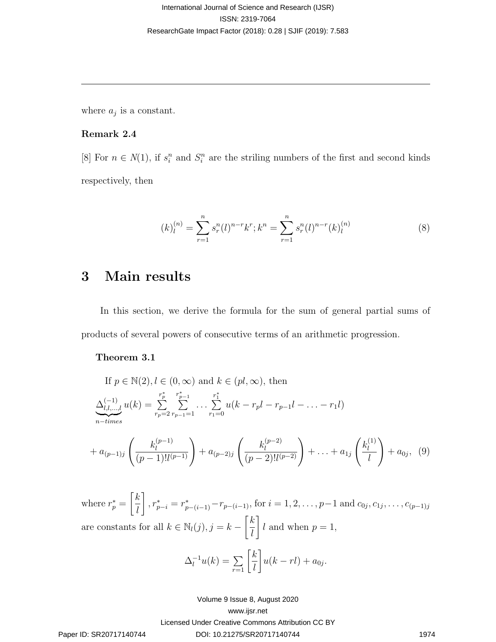where  $a_j$  is a constant.

#### Remark 2.4

[8] For  $n \in N(1)$ , if  $s_i^n$  and  $S_i^n$  are the striling numbers of the first and second kinds respectively, then

$$
(k)_l^{(n)} = \sum_{r=1}^n s_r^n(l)^{n-r} k^r; k^n = \sum_{r=1}^n s_r^n(l)^{n-r} (k)_l^{(n)}
$$
(8)

## 3 Main results

In this section, we derive the formula for the sum of general partial sums of products of several powers of consecutive terms of an arithmetic progression.

#### Theorem 3.1

lateralional of Science and Research (JJSR)  
\n1SSN- 2319-7064  
\nResearchGate Impact Factor (2018): 0.28 [ SJIF (2019): 7.583  
\n  
\nwhere 
$$
a_j
$$
 is a constant.  
\nRemark 2.4  
\n[8] For  $n \in N(1)$ , if  $s_i^n$  and  $S_i^n$  are the striking numbers of the first and second kinds  
\nrespectively, then  
\n
$$
(k)_l^{(n)} = \sum_{r=1}^n s_r^n(t)^{n-r}k^r; k^n = \sum_{r=1}^n s_r^n(t)^{n-r}(k)_l^{(n)}
$$
\n(8)  
\n**3** Main results  
\nIn this section, we derive the formula for the sum of general partial sums of  
\nproducts of several powers of consecutive terms of an arithmetic progression.  
\n**Theorem 3.1**  
\nIf  $p \in N(2), l \in (0, \infty)$  and  $k \in (pl, \infty)$ , then  
\n
$$
\frac{\Delta_1^{[l_1]}_{l_1, \ldots, l} d(k) = \sum_{r_p=2}^{n} \sum_{r_p=1}^{r-1} \ldots \sum_{r_p=0}^{r} u(k-r_pI-r_{p-1}I-\ldots-r_1I)}{u_{r-p}I} + a_{0j-1} \left(\frac{k_j^{(11)}}{(p-1)!l^{(p-1)}}\right) + a_{0j-2} \left(\frac{k_j^{(p-2)}}{(p-2)!l^{(p-2)}}\right) + \ldots + a_{1j} \left(\frac{k_i^{(11)}}{l}\right) + a_{0j}, (9)
$$
\nwhere  $r_p^* = \left[\frac{k}{l}\right], r_{p-i}^* = r_{p-(i-1)}^* - r_{p-(i-1)}$ , for  $i = 1, 2, ..., p-1$  and  $\alpha_{0j}, c_{1j}, ..., c_{(p-1)j}$   
\nare constants for all  $k \in N_i(j), j = k - \left[\frac{k}{l}\right]$   $l$  and when  $p = 1$ ,  
\n
$$
\Delta_i^{-1}u(k) = \sum_{r=1}^{\infty} \left[\frac{k}{l}\right]u(k - rI) + a_{0j}.
$$
\nVolume 8 Isue 8, August 2020  
\n**Range ID: SR20717140744** 1974

where  $r_p^* =$  $\lceil k \rceil$ l  $\Bigg], r_{p-i}^* = r_{p-(i-1)}^* - r_{p-(i-1)}$ , for  $i = 1, 2, \ldots, p-1$  and  $c_{0j}, c_{1j}, \ldots, c_{(p-1)j}$ are constants for all  $k \in \mathbb{N}_l(j)$ ,  $j = k - \left\lceil \frac{k}{l} \right\rceil$ l 1 l and when  $p=1$ ,

$$
\Delta_l^{-1}u(k) = \sum_{r=1}^{\infty} \left[\frac{k}{l}\right]u(k-rl) + a_{0j}.
$$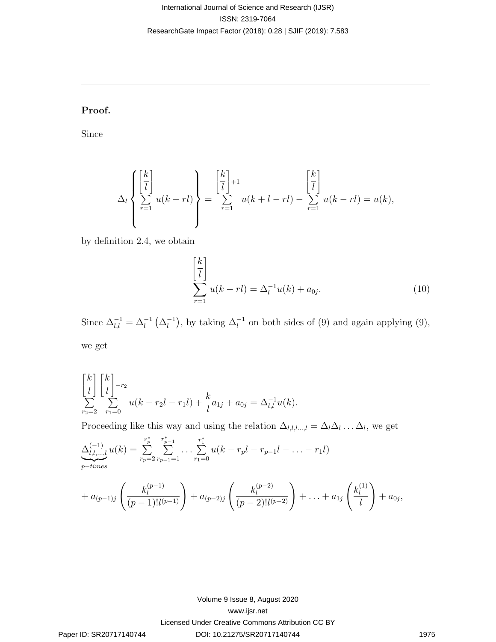### Proof.

Since

$$
\Delta_l\left\{\sum_{r=1}^{k} u(k-rl)\right\} = \sum_{r=1}^{k-1} u(k+l-rl) - \sum_{r=1}^{k-1} u(k-rl) = u(k),
$$

by definition 2.4, we obtain

$$
\left[\frac{k}{l}\right]
$$
  

$$
\sum_{r=1}^{k} u(k - rl) = \Delta_l^{-1} u(k) + a_{0j}.
$$
 (10)

Since  $\Delta_{l,l}^{-1} = \Delta_l^{-1} \left( \Delta_l^{-1} \right)$  $\binom{-1}{l}$ , by taking  $\Delta_l^{-1}$  on both sides of (9) and again applying (9), we get

$$
\begin{bmatrix} k \\ \overline{l} \end{bmatrix} \begin{bmatrix} k \\ \overline{l} \end{bmatrix}^{-r_2} \sum_{r_1=0} u(k - r_2l - r_1l) + \frac{k}{l} a_{1j} + a_{0j} = \Delta_{l,l}^{-1} u(k).
$$

Proceeding like this way and using the relation  $\Delta_{l,l,l...,l} = \Delta_l \Delta_l \ldots \Delta_l$ , we get

International Journal of Science and Research (JJSR)

\n**Research Gate** Image

\n**ResearchGate** Image

\n**ResearchGate** Image

\n**Proof.**

\nSince

\n
$$
\Delta_i \left\{ \begin{aligned}\n\frac{k}{l} \\
\frac{k}{r-1} \\
\frac{k}{r-1}\n\end{aligned}\right\} = \sum_{r=1}^{\left[\frac{k}{l}\right]+1} u(k + l - r l) - \sum_{r=1}^{\left[\frac{k}{l}\right]} u(k + l - r l) = u(k),
$$
\nby definition 2.4, we obtain

\n
$$
\begin{aligned}\n\frac{\left[\frac{k}{l}\right]}{\sum_{r=1}^{l} u(k + l - r l) - \sum_{r=1}^{\left[\frac{k}{l}\right]} u(k + r l) = u(k), \\
\frac{\left[\frac{k}{l}\right]}{\sum_{r=1}^{l} u(k + r l) - \Delta_i^{-1} u(k) + a_0,\n\end{aligned}
$$
\n(10)

\nSince  $\Delta_{i,l}^{-1} = \Delta_i^{-1} (\Delta_i^{-1})$ , by taking  $\Delta_i^{-1}$  on both sides of (9) and again applying (9), we get

\n
$$
\begin{aligned}\n\frac{k}{l} \left\{ \begin{aligned}\n\frac{k}{l}\n\end{aligned}\right\} - v_k \\
\frac{\Delta_{i,l}}{\sum_{r=2}^{l} \sum_{r=0}^{r} u(k - r_l l) + \frac{k}{l} a_{1j} + a_{0j} = \Delta_{i,l}^{-1} u(k). \\
\text{Proceeding like this way and using the relation  $\Delta_{i,l...l} = \Delta_i \Delta_i \dots \Delta_l$ , we get\n
$$
\Delta_{i,l...l}^{(-1)} u(k) = \sum_{r=0}^{\left[\frac{k}{l} - \sum_{r=0}^{\left[\frac{k}{l} - \sum_{r=0}^{\left[\frac{k}{l} - \sum_{r=0}^{\left[\frac{k}{l} - \sum_{r=0}^{\left[\frac{k}{l} - \sum_{r=0}^{\left[\frac{k}{l} - \sum_{r=0}^{\left[\frac{k}{l} - \sum_{r=0}^{\left[\frac{k}{l} - \sum_{r=0}^{\left[\frac{k}{l} - \sum_{r=0}^{\left[\frac{k}{l} - \sum_{r=0}^{\left[\frac{k}{l} - \sum_{
$$
$$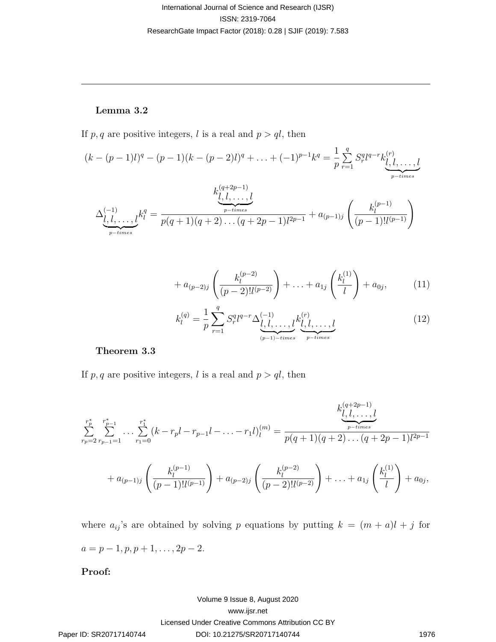#### Lemma 3.2

If p, q are positive integers, l is a real and  $p > ql$ , then

$$
(k - (p - 1)l)^q - (p - 1)(k - (p - 2)l)^q + \dots + (-1)^{p-1}k^q = \frac{1}{p} \sum_{r=1}^q S_r^q l^{q-r} k_{l, l, \dots, l}^{(r)}
$$

$$
\Delta_{\underbrace{\bigcup_{p \text{ - times}}^{(1)} I, \dots, l}_{p \text{ - times}}}^{(kq+2p-1)} k_{l, l, \dots, l}^{(q+2p-1)}
$$

$$
\Delta_{\underbrace{\bigcup_{p \text{ - times}}^{(1)} I, \dots, l}_{p \text{ - times}}}^{(kq+2p-1)(q+2) \dots (q+2p-1)l^{2p-1}} + a_{(p-1)j} \left( \frac{k_l^{(p-1)}}{(p-1)! l^{(p-1)}} \right)
$$

$$
+ a_{(p-2)j} \left( \frac{k_l^{(p-2)}}{(p-2)! l^{(p-2)}} \right) + \ldots + a_{1j} \left( \frac{k_l^{(1)}}{l} \right) + a_{0j}, \tag{11}
$$

$$
k_l^{(q)} = \frac{1}{p} \sum_{r=1}^q S_r^q l^{q-r} \Delta_{\underbrace{l, l, \dots, l}_{(p-1)-times}}^{(-1)} k_{\underbrace{l, l, \dots, l}_{p-times}}^{(r)}
$$
(12)

#### Theorem 3.3

If p, q are positive integers, l is a real and  $p > ql$ , then

lateralional of Science and Research (JJSR)  
\n189N: 2319-7064  
\nResearchGate Impact Factor (2018): 0.28 [ SJIF (2019): 7.583  
\n  
\n**Lemma 3.2**  
\nIf p, q are positive integers, l is a real and 
$$
p > ql
$$
, then  
\n
$$
(k - (p - 1)l)^q - (p - 1)(k - (p - 2)l)^q + ... + (-1)^{p-1}k^q = \frac{1}{p} \sum_{r=1}^q S_2^n l^{q-r} k_{l,1,\ldots,l}^{(r)} +
$$
\n
$$
\Delta_{\underbrace{\begin{matrix}\lambda_1^{(q-1)}\right)}_{r=r\text{times}}^{(r-1)}}}^{\lambda_1^{(q+4p-1)}} \Delta_{\underbrace{\begin{matrix}\lambda_1^{(q-4p-1)}\right)}_{r=r\text{times}}^{(r-1)}}}^{\lambda_1^{(q+4p-1)}} \Delta_{\underbrace{\begin{matrix}\lambda_1^{(q-4p-1)}\right)}_{r=r\text{times}}^{(r-1)}}}^{\lambda_1^{(q+4p-1)}} \Delta_{\underbrace{\begin{matrix}\lambda_1^{(q-1)}\right)}_{r=r\text{times}}^{(r-1)}}}^{\lambda_1^{(q+4p-1)}} \Delta_{\underbrace{\begin{matrix}\lambda_1^{(q-1)}\right)}_{r=r\text{times}}^{(r-1)}}}^{\lambda_1^{(q+4p-1)}} \Delta_{\underbrace{\begin{matrix}\lambda_1^{(q-1)}\right)}_{r=r\text{times}}^{(r-1)}}}^{\lambda_1^{(q+4p-1)}} \Delta_{\underbrace{\begin{matrix}\lambda_1^{(q)}\right)}_{r=r\text{times}}^{(r-1)}}}^{\lambda_1^{(q+4p-1)}} \Delta_{\underbrace{\begin{matrix}\lambda_1^{(q)}\right)}_{r=r\text{times}}^{(r-1)}}}^{\lambda_1^{(q+4p-1)}} \Delta_{\underbrace{\begin{matrix}\lambda_1^{(q)}\right)}_{r=r\text{times}}^{(r-1)}}}^{\lambda_1^{(q+1)}} \Delta_{\underbrace{\begin{matrix}\lambda_1^{(q)}\right)}_{r=r\text{times}}^{(r-1)}}}^{\lambda_1^{(q+2p-1)}} \Delta_{\underbrace{\begin{matrix}\lambda_1^{(q)}\right)}_{r=r\text{times}}^{(r-1)}}}^{\lambda_1^{
$$

where  $a_{ij}$ 's are obtained by solving p equations by putting  $k = (m + a)l + j$  for  $a = p - 1, p, p + 1, \ldots, 2p - 2.$ 

Proof: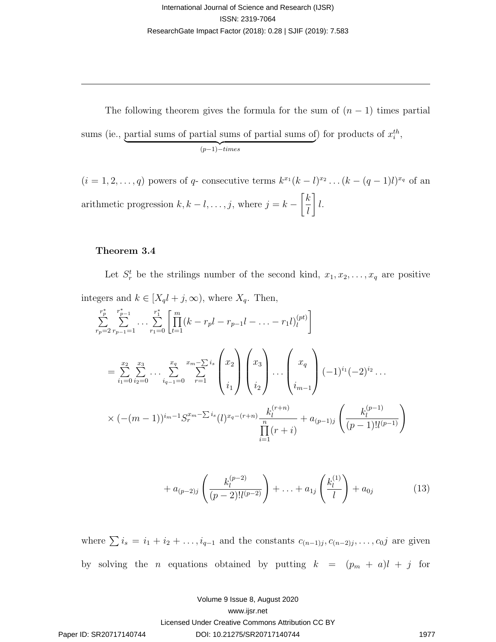The following theorem gives the formula for the sum of  $(n-1)$  times partial sums (ie., partial sums of partial sums of partial sums of  $(y-1)-times$  $(p-1)-times$ ) for products of  $x_i^{th}$ ,

 $(i = 1, 2, \ldots, q)$  powers of q- consecutive terms  $k^{x_1}(k-l)^{x_2}\ldots (k-(q-1)l)^{x_q}$  of an arithmetic progression  $k, k - l, \ldots, j$ , where  $j = k \lceil k \rceil$ l 1 l.

#### Theorem 3.4

Let  $S_r^t$  be the strilings number of the second kind,  $x_1, x_2, \ldots, x_q$  are positive integers and  $k \in [X_q l + j, \infty)$ , where  $X_q$ . Then,

lateralional of Science and Research (JJSR)  
\n1SSN- 2319-7064  
\nResearchGate Impact Factor (2018): 0.28 [ SJIF (2019): 7.583  
\n  
\nTime following theorem gives the formula for the sum of 
$$
(n-1)
$$
 times partial  
\nsums (ie., partial sums of partial sums of partial sums of) for products of  $x_i^{th}$ ,  
\n $(i = 1, 2, ..., q)$  powers of  $q$ - consecutive terms  $k^{sn}(k - i)^{rs}$ ,  $(k - (q - 1)l)^{s_q}$  of an  
\narithmetic progression  $k, k - l, ..., j$ , where  $j = k - \left[\frac{k}{l}\right]l$ .  
\n  
\n**Theorem 3.4**  
\nLet  $S_i^t$  be the striking number of the second kind,  $x_1, x_2, ..., x_q$  are positive  
\nintegers and  $k \in [X_q l + j, \infty)$ , where  $X_q$ . Then,  
\n
$$
\sum_{r_p=2}^{r} \sum_{r_{p-1}=1}^{r} ... \sum_{r_{p=1}}^{r_1} \left[ \prod_{i=1}^{m} (k - r_p l - r_{p-1} l - ... - r_1 l)^{(st)}_i \right]
$$
\n
$$
= \sum_{r_1=0}^{2s} \sum_{r_2=1}^{3s} ... \sum_{r_{q-1}=1}^{s_q} \sum_{r_1=1}^{s_q} {x_2 \choose r_1} {x_3 \choose r_2} ... {x_4 \choose r_{n-1}} (-1)^{r_1} (-2)^{r_2} ...
$$
\n
$$
\times (- (m-1))^{i_{m-1}} S_n^{e_m-2} \cdots {x_1} {x_1 \choose r} \left(\sum_{i=1}^{k_1^{(p-1)}} \right) + a_{(p-1)j} \left(\frac{k_1^{(p-1)}}{(p-1)!(p-1)}\right)
$$
\n
$$
+ a_{(p-2)j} \left(\frac{k_2^{(p-2)}}{(p-2)!(p-2)}\right) + ... + a_{1j} \left(\frac{k_1^{(1)}}{l}\right) + a_{0j}
$$
\nwhere  $\sum i_s = i_1 + i_2 + ...$ ,  $i_{q-1}$  and the constants  $c_{(n-1)j}, c_{(n-2)j}, ..., c_{0$ 

$$
+ a_{(p-2)j} \left( \frac{k_l^{(p-2)}}{(p-2)! l^{(p-2)}} \right) + \ldots + a_{1j} \left( \frac{k_l^{(1)}}{l} \right) + a_{0j} \tag{13}
$$

where  $\sum i_s = i_1 + i_2 + \ldots, i_{q-1}$  and the constants  $c_{(n-1)j}, c_{(n-2)j}, \ldots, c_0j$  are given by solving the *n* equations obtained by putting  $k = (p_m + a)l + j$  for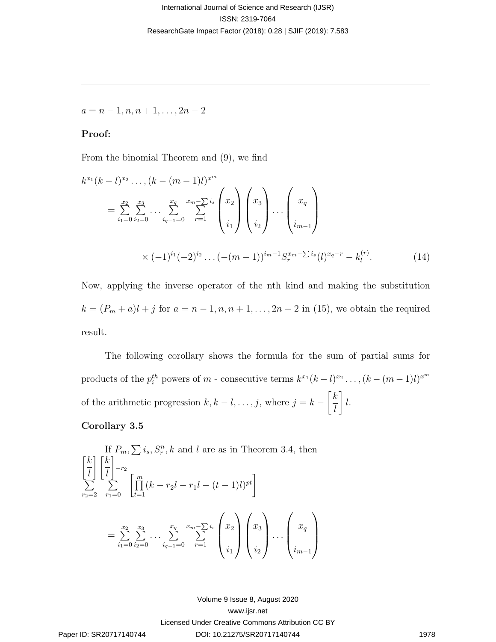$a = n - 1, n, n + 1, \ldots, 2n - 2$ 

#### Proof:

From the binomial Theorem and (9), we find

k <sup>x</sup><sup>1</sup> (k − l) x2 . . . ,(k − (m − 1)l) x<sup>m</sup> = Px2 i1=0 Px3 i2=0 . . . <sup>P</sup><sup>x</sup><sup>q</sup> iq−1=0 xm− P P is r=1 x2 i1 x3 i2 . . . xq im−<sup>1</sup> × (−1)<sup>i</sup><sup>1</sup> (−2)<sup>i</sup><sup>2</sup> . . .(−(m − 1))<sup>i</sup>m−<sup>1</sup>S xm− Pi<sup>s</sup> r (l) <sup>x</sup>q−<sup>r</sup> − k (r) l . (14) Paper ID: SR20717140744 DOI: 10.21275/SR20717140744 1978 International Journal of Science and Research (IJSR) Licensed Under Creative Commons Attribution CC BY ISSN: 2319-7064 www.ijsr.net ResearchGate Impact Factor (2018): 0.28 | SJIF (2019): 7.583 Volume 9 Issue 8, August 2020

Now, applying the inverse operator of the nth kind and making the substitution  $k = (P_m + a)l + j$  for  $a = n - 1, n, n + 1, ..., 2n - 2$  in (15), we obtain the required result.

The following corollary shows the formula for the sum of partial sums for products of the  $p_i^{th}$  powers of  $m$  - consecutive terms  $k^{x_1}(k-l)^{x_2}\dots,(k-(m-1)l)^{x^m}$ of the arithmetic progression  $k, k - l, \ldots, j$ , where  $j = k \lceil k \rceil$ l 1 l.

#### Corollary 3.5

If 
$$
P_m
$$
,  $\sum i_s$ ,  $S_r^n$ , k and l are as in Theorem 3.4, then  
\n
$$
\begin{bmatrix} k \\ \overline{l} \end{bmatrix} \begin{bmatrix} k \\ \overline{l} \end{bmatrix}^{-r_2} - \sum_{r_1=0}^m \sum_{l=1}^m (k - r_2l - r_1l - (t - 1)l)^{pt} \end{bmatrix}
$$
\n
$$
= \sum_{i_1=0}^{x_2} \sum_{i_2=0}^{x_3} \cdots \sum_{i_{q-1}=0}^{x_q} \sum_{r=1}^{x_m - \sum_{r=1}^{x_q} {x_2 \choose i_1} {x_3 \choose i_2} \cdots {x_q \choose i_{m-1}}
$$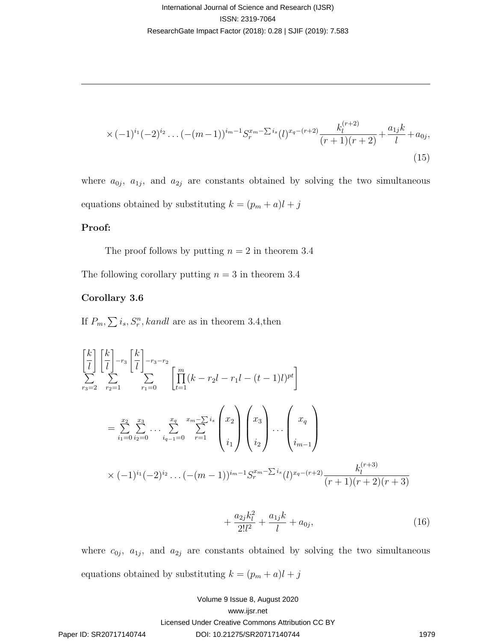$$
\times (-1)^{i_1} (-2)^{i_2} \dots (- (m-1))^{i_m-1} S_r^{x_m - \sum i_s} (l)^{x_q - (r+2)} \frac{k_l^{(r+2)}}{(r+1)(r+2)} + \frac{a_{1j}k}{l} + a_{0j},
$$
\n(15)

where  $a_{0j}$ ,  $a_{1j}$ , and  $a_{2j}$  are constants obtained by solving the two simultaneous equations obtained by substituting  $k = (p_m + a)l + j$ 

#### Proof:

The proof follows by putting  $n = 2$  in theorem 3.4

The following corollary putting  $n = 3$  in theorem 3.4

#### Corollary 3.6

If  $P_m, \sum i_s, S_r^n, kandl$  are as in theorem 3.4, then

lateralional of Science and Research (JJSR)  
\nISSN: 2319-7064  
\nResearchGate Impact Factor (2018): 0.28 [ SJIF (2019): 7.583  
\n
$$
\times (-1)^{i_1}(-2)^{i_2} \dots (- (m-1))^{i_m-1} S_r^{x_m-\sum i_r} (l)^{x_r-(r+2)} \frac{k_i^{(r+2)}}{(r+1)(r+2)} + \frac{a_{i_1}k}{l} + a_{0j},
$$
\nwhere  $a_{0j}$ ,  $a_{1j}$ , and  $a_{2j}$  are constants obtained by solving the two simultaneous  
\nequations obtained by substituting  $k = (p_m + a)l + j$   
\n**Proof:**  
\nThe proof follows by putting  $n = 2$  in theorem 3.4  
\nThe following corollary 3.6  
\nIf  $P_m$ ,  $\sum_{i_1, i_2, j_3, k}$ , *and* are as in theorem 3.4, then  
\n
$$
\left[\frac{k}{l}\right] \left[\frac{k}{l}\right]_{r=2}^{r=2} \sum_{r_1=0}^{r_2} \sum_{r_1=0}^{r_1} \frac{1}{l} \prod_{r=1}^{r_2-r_2} \sum_{r_1=1}^{r_2} \left(\frac{x_2}{r-1}\right) \prod_{r=1}^{r_1} (k-r_2l-r_1l - (t-1)l)^{st} \right]
$$
\n
$$
= \sum_{r_1=0}^{x_2} \sum_{r_2=1}^{x_1} \cdots \sum_{r_{r_1}=0}^{x_r} \prod_{r=1}^{r_1} \sum_{r=1}^{r_2-r_2} \left(\frac{x_2}{i_1}\right) \left(\frac{x_3}{i_2}\right) \cdots \left(\frac{x_{r_1}}{i_{m-1}}\right)
$$
\n
$$
\times (-1)^{i_1}(-2)^{i_2} \cdots (-(m-1))^{i_m-1} S_r^{x_m-\sum_{i}i} (l)^{x_m-(r-2)} \frac{k_i^{(r+3)}}{(r+1)(r+2)(r+3)} + \frac{a_{2j}k_j^2}{2!l^2} + \frac{a_{1j}k}{l} + a_{0j},
$$
\nwhere  $c_{0j}$ ,  $a_{1j}$ , and  $a_{2j}$  are

$$
+\frac{a_{2j}k_l^2}{2!l^2} + \frac{a_{1j}k}{l} + a_{0j},\tag{16}
$$

where  $c_{0j}$ ,  $a_{1j}$ , and  $a_{2j}$  are constants obtained by solving the two simultaneous equations obtained by substituting  $k = (p_m + a)l + j$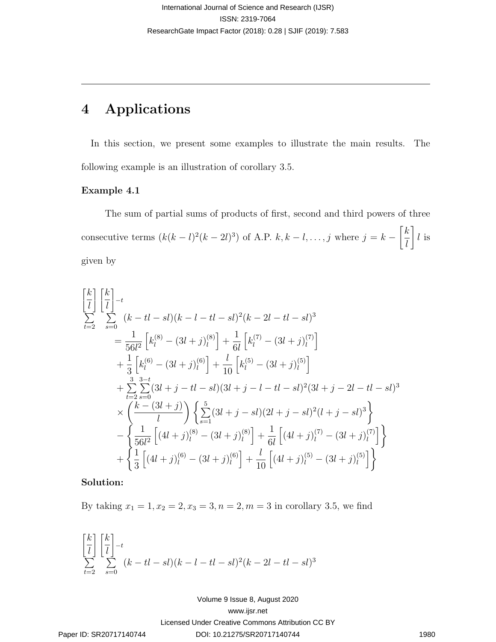## 4 Applications

In this section, we present some examples to illustrate the main results. The following example is an illustration of corollary 3.5.

#### Example 4.1

The sum of partial sums of products of first, second and third powers of three consecutive terms  $(k(k-l)^2(k-2l)^3)$  of A.P.  $k, k-l, \ldots, j$  where  $j = k \lceil k \rceil$ l 1 l is given by

 k l P t=2 k l −<sup>t</sup> P s=0 (k − tl − sl)(k − l − tl − sl) 2 (k − 2l − tl − sl) 3 = 1 56l 2 h k (8) <sup>l</sup> − (3l + j) (8) l i + 1 6l h k (7) <sup>l</sup> − (3l + j) (7) l i + 1 3 h k (6) <sup>l</sup> − (3l + j) (6) l i + l 10 h k (5) <sup>l</sup> − (3l + j) (5) l i + P 3 t=2 3 P−t s=0 (3l + j − tl − sl)(3l + j − l − tl − sl) 2 (3l + j − 2l − tl − sl) 3 × k − (3l + j) l P 5 s=1 (3l + j − sl)(2l + j − sl) 2 (l + j − sl) 3 − 1 56l 2 h (4l + j) (8) <sup>l</sup> − (3l + j) (8) l i + 1 6l h (4l + j) (7) <sup>l</sup> − (3l + j) (7) l i + 1 3 h (4l + j) (6) <sup>l</sup> − (3l + j) (6) l i + l 10 h (4l + j) (5) <sup>l</sup> − (3l + j) (5) l i Paper ID: SR20717140744 DOI: 10.21275/SR20717140744 1980 International Journal of Science and Research (IJSR) Licensed Under Creative Commons Attribution CC BY ISSN: 2319-7064 www.ijsr.net ResearchGate Impact Factor (2018): 0.28 | SJIF (2019): 7.583 Volume 9 Issue 8, August 2020

### Solution:

By taking  $x_1 = 1, x_2 = 2, x_3 = 3, n = 2, m = 3$  in corollary 3.5, we find

$$
\begin{bmatrix} k \\ \overline{l} \end{bmatrix} \begin{bmatrix} k \\ \overline{l} \end{bmatrix} - t
$$
\n
$$
\sum_{t=2}^{k} \sum_{s=0}^{k} (k - t \overline{l} - s \overline{l})(k - l - t \overline{l} - s \overline{l})^2 (k - 2l - t \overline{l} - s \overline{l})^3
$$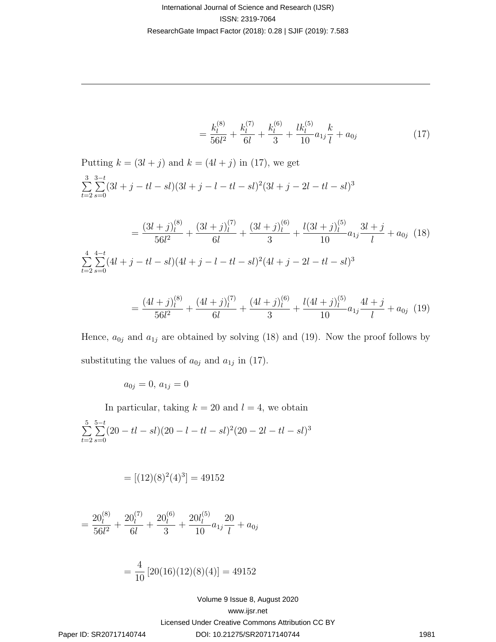$$
=\frac{k_l^{(8)}}{56l^2}+\frac{k_l^{(7)}}{6l}+\frac{k_l^{(6)}}{3}+\frac{lk_l^{(5)}}{10}a_{1j}\frac{k}{l}+a_{0j}\tag{17}
$$

lational Journal of Science and Research (JJSR)  
\n
$$
189N: 2319-7064
$$
\n
$$
189N: 2319-7064
$$
\n
$$
189N: 2319-7064
$$
\n
$$
189N: 2319-7064
$$
\n
$$
189N: 2319-7064
$$
\n
$$
189N: 2319-7064
$$
\n
$$
\frac{3}{2} \sum_{i=1}^{n} (3l+j-tl-s) (3l+j-1-tl-s)^2 (3l+j-2l-d-d-s)^3
$$
\n
$$
= \frac{(3l+j)^{(8)}}{56l^2} + \frac{(3l+j)^{(7)}}{6l} + \frac{(3l+j)^{(9)}}{3l} + \frac{(3l+j)^{(5)}}{10} a_{1j} \frac{3l+j}{l} + a_{0j} \quad (18)
$$
\n
$$
= \frac{(3l+j)^{(8)}}{56l^2} + \frac{(3l+j)^{(7)}}{6l} + \frac{(3l+j)^{(9)}}{3l} + \frac{(3l+j)^{(9)}}{10} a_{1j} \frac{3l+j}{l} + a_{0j} \quad (18)
$$
\n
$$
\frac{4}{k-2} \sum_{i=1}^{n} (4l+j-tl-s) (4l+j-1-tl-s)^2 (4l+j-2l-d-d-s)^3
$$
\n
$$
= \frac{(4l+j)^{(6)}}{56l^2} + \frac{(4l+j)^{(7)}}{6l} + \frac{(4l+j)^{(9)}}{3l} + \frac{(4l+j)^{(9)}}{10} a_{1j} \frac{4l+j}{l} + a_{0j} \quad (19)
$$
\nHence,  $a_{0j}$  and  $a_{1j}$  are obtained by solving (18) and (19). Now the proof follows by substituting the values of  $a_{0j}$  and  $a_{1j}$  in (17).  
\n
$$
a_{0j} = 0, a_{1j} = 0
$$
\nIn particular, taking  $k = 20$  and  $l = 4$ , we obtain\n
$$
\sum_{i=2}^{n} \sum_{s=0}^{n-1} (20 - tl-s) (20 - l - tl-s)^2 (20 - 2l - tl-s)^3
$$
\n

$$
=\frac{(4l+j)_{l}^{(8)}}{56l^{2}}+\frac{(4l+j)_{l}^{(7)}}{6l}+\frac{(4l+j)_{l}^{(6)}}{3}+\frac{l(4l+j)_{l}^{(5)}}{10}a_{1j}\frac{4l+j}{l}+a_{0j} \tag{19}
$$

Hence,  $a_{0j}$  and  $a_{1j}$  are obtained by solving (18) and (19). Now the proof follows by substituting the values of  $a_{0j}$  and  $a_{1j}$  in (17).

$$
a_{0j} = 0, \, a_{1j} = 0
$$

In particular, taking  $k = 20$  and  $l = 4$ , we obtain  $\sum_{ }^{5}$  $t=2$  $\sum_{ }^{5-t}$  $s=0$  $(20 - tl - sl)(20 - l - tl - sl)^2(20 - 2l - tl - sl)^3$ 

$$
= [(12)(8)^2(4)^3] = 49152
$$

$$
= \frac{20_l^{(8)}}{56l^2} + \frac{20_l^{(7)}}{6l} + \frac{20_l^{(6)}}{3} + \frac{20l_l^{(5)}}{10}a_{1j}\frac{20}{l} + a_{0j}
$$

$$
= \frac{4}{10} [20(16)(12)(8)(4)] = 49152
$$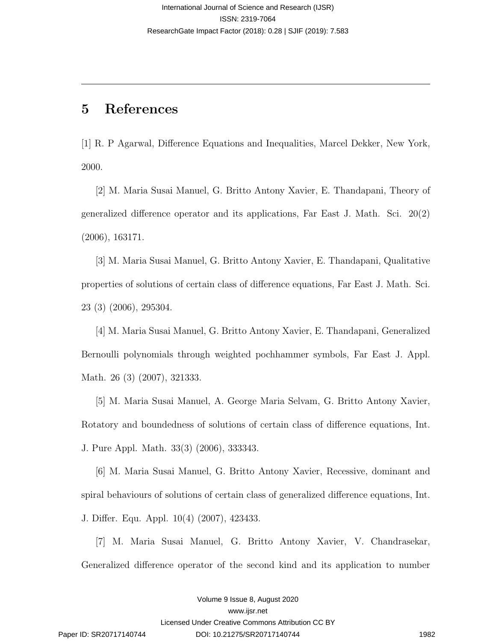## 5 References

[1] R. P Agarwal, Difference Equations and Inequalities, Marcel Dekker, New York, 2000.

[2] M. Maria Susai Manuel, G. Britto Antony Xavier, E. Thandapani, Theory of generalized difference operator and its applications, Far East J. Math. Sci. 20(2) (2006), 163171.

[3] M. Maria Susai Manuel, G. Britto Antony Xavier, E. Thandapani, Qualitative properties of solutions of certain class of difference equations, Far East J. Math. Sci. 23 (3) (2006), 295304.

[4] M. Maria Susai Manuel, G. Britto Antony Xavier, E. Thandapani, Generalized Bernoulli polynomials through weighted pochhammer symbols, Far East J. Appl. Math. 26 (3) (2007), 321333.

[5] M. Maria Susai Manuel, A. George Maria Selvam, G. Britto Antony Xavier, Rotatory and boundedness of solutions of certain class of difference equations, Int. J. Pure Appl. Math. 33(3) (2006), 333343. Forestrow American States<br>and Section 1988 2014-706<br>
Remeabilishe impact factor (2018, 028) 2014-706<br>
Remeabilishe impact factor (2018, 028) 2017-706<br>
(P. R. P. Agorwal, Difference Equations and Inequalities, Marcel Dekke

[6] M. Maria Susai Manuel, G. Britto Antony Xavier, Recessive, dominant and spiral behaviours of solutions of certain class of generalized difference equations, Int. J. Differ. Equ. Appl. 10(4) (2007), 423433.

[7] M. Maria Susai Manuel, G. Britto Antony Xavier, V. Chandrasekar, Generalized difference operator of the second kind and its application to number